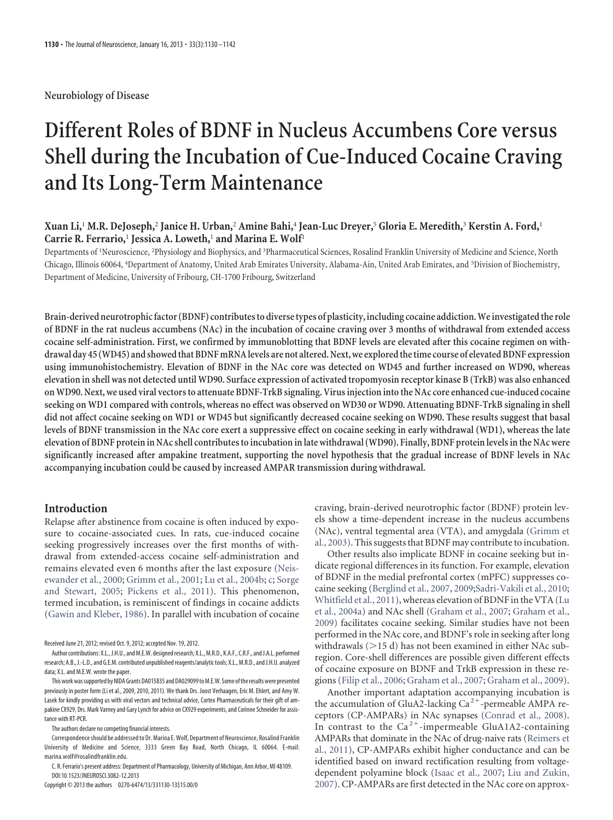**Neurobiology of Disease**

# **Different Roles of BDNF in Nucleus Accumbens Core versus Shell during the Incubation of Cue-Induced Cocaine Craving and Its Long-Term Maintenance**

## **Xuan Li,**<sup>1</sup> **M.R. DeJoseph,**<sup>2</sup> **Janice H. Urban,**<sup>2</sup> **Amine Bahi,**<sup>4</sup> **Jean-Luc Dreyer,**<sup>5</sup> **Gloria E. Meredith,**<sup>3</sup> **Kerstin A. Ford,**<sup>1</sup> **Carrie R. Ferrario,**<sup>1</sup> **Jessica A. Loweth,**<sup>1</sup> **and Marina E. Wolf**<sup>1</sup>

Departments of <sup>1</sup>Neuroscience, <sup>2</sup>Physiology and Biophysics, and <sup>3</sup>Pharmaceutical Sciences, Rosalind Franklin University of Medicine and Science, North Chicago, Illinois 60064, <sup>4</sup>Department of Anatomy, United Arab Emirates University, Alabama-Ain, United Arab Emirates, and <sup>5</sup>Division of Biochemistry, Department of Medicine, University of Fribourg, CH-1700 Fribourg, Switzerland

**Brain-derived neurotrophic factor (BDNF) contributes to diverse types of plasticity, including cocaine addiction. We investigated the role of BDNF in the rat nucleus accumbens (NAc) in the incubation of cocaine craving over 3 months of withdrawal from extended access cocaine self-administration. First, we confirmed by immunoblotting that BDNF levels are elevated after this cocaine regimen on withdrawal day 45 (WD45) and showed that BDNF mRNA levels are not altered. Next, we explored the time course of elevated BDNF expression using immunohistochemistry. Elevation of BDNF in the NAc core was detected on WD45 and further increased on WD90, whereas elevation in shell was not detected until WD90. Surface expression of activated tropomyosin receptor kinase B (TrkB) was also enhanced on WD90. Next, we used viral vectors to attenuate BDNF-TrkB signaling. Virus injection into the NAc core enhanced cue-induced cocaine seeking on WD1 compared with controls, whereas no effect was observed on WD30 or WD90. Attenuating BDNF-TrkB signaling in shell did not affect cocaine seeking on WD1 or WD45 but significantly decreased cocaine seeking on WD90. These results suggest that basal levels of BDNF transmission in the NAc core exert a suppressive effect on cocaine seeking in early withdrawal (WD1), whereas the late elevation of BDNF protein in NAc shell contributes to incubation in late withdrawal (WD90). Finally, BDNF protein levels in the NAc were significantly increased after ampakine treatment, supporting the novel hypothesis that the gradual increase of BDNF levels in NAc accompanying incubation could be caused by increased AMPAR transmission during withdrawal.**

#### **Introduction**

Relapse after abstinence from cocaine is often induced by exposure to cocaine-associated cues. In rats, cue-induced cocaine seeking progressively increases over the first months of withdrawal from extended-access cocaine self-administration and remains elevated even 6 months after the last exposure (Neisewander et al., 2000; Grimm et al., 2001; Lu et al., 2004b; c; Sorge and Stewart, 2005; Pickens et al., 2011). This phenomenon, termed incubation, is reminiscent of findings in cocaine addicts (Gawin and Kleber, 1986). In parallel with incubation of cocaine

Received June 21, 2012; revised Oct. 9, 2012; accepted Nov. 19, 2012.

The authors declare no competing financial interests.

Correspondence should be addressed to Dr. Marina E. Wolf, Department of Neuroscience, Rosalind Franklin University of Medicine and Science, 3333 Green Bay Road, North Chicago, IL 60064. E-mail: marina.wolf@rosalindfranklin.edu.

C. R. Ferrario's present address: Department of Pharmacology, University of Michigan, Ann Arbor, MI 48109. DOI:10.1523/JNEUROSCI.3082-12.2013

Copyright © 2013 the authors 0270-6474/13/331130-13\$15.00/0

craving, brain-derived neurotrophic factor (BDNF) protein levels show a time-dependent increase in the nucleus accumbens (NAc), ventral tegmental area (VTA), and amygdala (Grimm et al., 2003). This suggests that BDNF may contribute to incubation.

Other results also implicate BDNF in cocaine seeking but indicate regional differences in its function. For example, elevation of BDNF in the medial prefrontal cortex (mPFC) suppresses cocaine seeking (Berglind et al., 2007, 2009;Sadri-Vakili et al., 2010; Whitfield et al., 2011), whereas elevation of BDNF in the VTA (Lu et al., 2004a) and NAc shell (Graham et al., 2007; Graham et al., 2009) facilitates cocaine seeking. Similar studies have not been performed in the NAc core, and BDNF's role in seeking after long withdrawals  $(>15$  d) has not been examined in either NAc subregion. Core-shell differences are possible given different effects of cocaine exposure on BDNF and TrkB expression in these regions (Filip et al., 2006; Graham et al., 2007; Graham et al., 2009).

Another important adaptation accompanying incubation is the accumulation of GluA2-lacking  $Ca^{2+}$ -permeable AMPA receptors (CP-AMPARs) in NAc synapses (Conrad et al., 2008). In contrast to the  $Ca^{2+}$ -impermeable GluA1A2-containing AMPARs that dominate in the NAc of drug-naive rats (Reimers et al., 2011), CP-AMPARs exhibit higher conductance and can be identified based on inward rectification resulting from voltagedependent polyamine block (Isaac et al., 2007; Liu and Zukin, 2007). CP-AMPARs are first detected in the NAc core on approx-

Author contributions: X.L., J.H.U., and M.E.W. designed research; X.L., M.R.D., K.A.F., C.R.F., and J.A.L. performed research; A.B., J.-L.D., and G.E.M. contributed unpublished reagents/analytic tools; X.L., M.R.D., and J.H.U. analyzed data; X.L. and M.E.W. wrote the paper.

This work was supported by NIDA Grants DA015835 and DA029099 to M.E.W. Some of the results were presented previously in poster form (Li et al., 2009, 2010, 2011). We thank Drs. Joost Verhaagen, Eric M. Ehlert, and Amy W. Lasek for kindly providing us with viral vectors and technical advice, Cortex Pharmaceuticals for their gift of ampakine CX929, Drs. Mark Varney and Gary Lynch for advice on CX929 experiments, and Corinne Schneider for assistance with RT-PCR.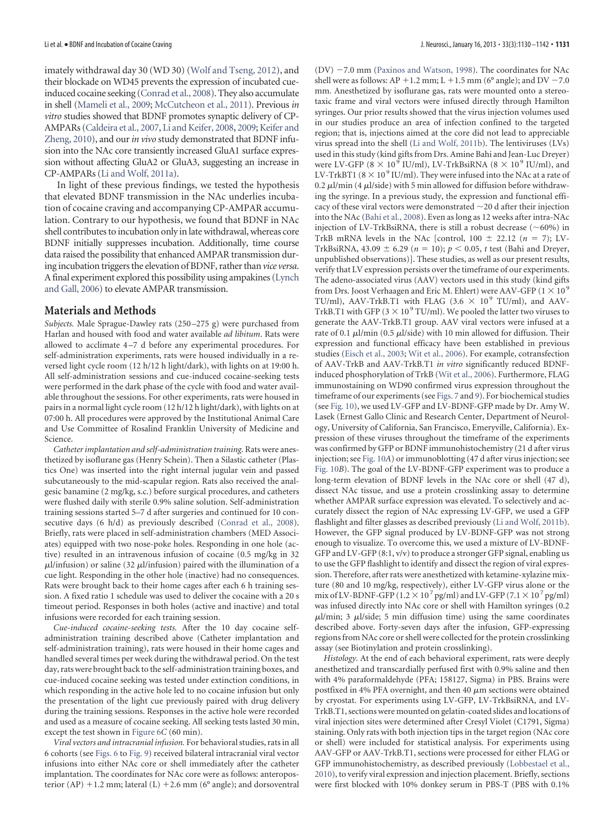imately withdrawal day 30 (WD 30) (Wolf and Tseng, 2012), and their blockade on WD45 prevents the expression of incubated cueinduced cocaine seeking (Conrad et al., 2008). They also accumulate in shell (Mameli et al., 2009; McCutcheon et al., 2011). Previous *in vitro* studies showed that BDNF promotes synaptic delivery of CP-AMPARs (Caldeira et al., 2007, Li and Keifer, 2008, 2009; Keifer and Zheng, 2010), and our *in vivo* study demonstrated that BDNF infusion into the NAc core transiently increased GluA1 surface expression without affecting GluA2 or GluA3, suggesting an increase in CP-AMPARs (Li and Wolf, 2011a).

In light of these previous findings, we tested the hypothesis that elevated BDNF transmission in the NAc underlies incubation of cocaine craving and accompanying CP-AMPAR accumulation. Contrary to our hypothesis, we found that BDNF in NAc shell contributes to incubation only in late withdrawal, whereas core BDNF initially suppresses incubation. Additionally, time course data raised the possibility that enhanced AMPAR transmission during incubation triggers the elevation of BDNF, rather than *vice versa*. A final experiment explored this possibility using ampakines (Lynch and Gall, 2006) to elevate AMPAR transmission.

#### **Materials and Methods**

*Subjects.* Male Sprague-Dawley rats (250 –275 g) were purchased from Harlan and housed with food and water available *ad libitum*. Rats were allowed to acclimate 4 –7 d before any experimental procedures. For self-administration experiments, rats were housed individually in a reversed light cycle room (12 h/12 h light/dark), with lights on at 19:00 h. All self-administration sessions and cue-induced cocaine-seeking tests were performed in the dark phase of the cycle with food and water available throughout the sessions. For other experiments, rats were housed in pairs in a normal light cycle room (12 h/12 h light/dark), with lights on at 07:00 h. All procedures were approved by the Institutional Animal Care and Use Committee of Rosalind Franklin University of Medicine and Science.

*Catheter implantation and self-administration training.* Rats were anesthetized by isoflurane gas (Henry Schein). Then a Silastic catheter (Plastics One) was inserted into the right internal jugular vein and passed subcutaneously to the mid-scapular region. Rats also received the analgesic banamine (2 mg/kg, s.c.) before surgical procedures, and catheters were flushed daily with sterile 0.9% saline solution. Self-administration training sessions started 5–7 d after surgeries and continued for 10 consecutive days (6 h/d) as previously described (Conrad et al., 2008). Briefly, rats were placed in self-administration chambers (MED Associates) equipped with two nose-poke holes. Responding in one hole (active) resulted in an intravenous infusion of cocaine (0.5 mg/kg in 32  $\mu$ l/infusion) or saline (32  $\mu$ l/infusion) paired with the illumination of a cue light. Responding in the other hole (inactive) had no consequences. Rats were brought back to their home cages after each 6 h training session. A fixed ratio 1 schedule was used to deliver the cocaine with a 20 s timeout period. Responses in both holes (active and inactive) and total infusions were recorded for each training session.

*Cue-induced cocaine-seeking tests.* After the 10 day cocaine selfadministration training described above (Catheter implantation and self-administration training), rats were housed in their home cages and handled several times per week during the withdrawal period. On the test day, rats were brought back to the self-administration training boxes, and cue-induced cocaine seeking was tested under extinction conditions, in which responding in the active hole led to no cocaine infusion but only the presentation of the light cue previously paired with drug delivery during the training sessions. Responses in the active hole were recorded and used as a measure of cocaine seeking. All seeking tests lasted 30 min, except the test shown in Figure 6*C* (60 min).

*Viral vectors and intracranial infusion.* For behavioral studies, rats in all 6 cohorts (see Figs. 6 to Fig. 9) received bilateral intracranial viral vector infusions into either NAc core or shell immediately after the catheter implantation. The coordinates for NAc core were as follows: anteroposterior (AP)  $+1.2$  mm; lateral (L)  $+2.6$  mm (6 $^{\circ}$  angle); and dorsoventral

 $(DV)$  -7.0 mm (Paxinos and Watson, 1998). The coordinates for NAc shell were as follows:  $AP + 1.2$  mm;  $L + 1.5$  mm (6 $^{\circ}$  angle); and  $DV - 7.0$ mm. Anesthetized by isoflurane gas, rats were mounted onto a stereotaxic frame and viral vectors were infused directly through Hamilton syringes. Our prior results showed that the virus injection volumes used in our studies produce an area of infection confined to the targeted region; that is, injections aimed at the core did not lead to appreciable virus spread into the shell (Li and Wolf, 2011b). The lentiviruses (LVs) used in this study (kind gifts from Drs. Amine Bahi and Jean-Luc Dreyer) were LV-GFP  $(8 \times 10^9 \text{ IU/ml})$ , LV-TrkBsiRNA  $(8 \times 10^9 \text{ IU/ml})$ , and LV-TrkBT1 ( $8 \times 10^9$  IU/ml). They were infused into the NAc at a rate of 0.2  $\mu$ l/min (4  $\mu$ l/side) with 5 min allowed for diffusion before withdrawing the syringe. In a previous study, the expression and functional efficacy of these viral vectors were demonstrated  $\sim$  20 d after their injection into the NAc (Bahi et al., 2008). Even as long as 12 weeks after intra-NAc injection of LV-TrkBsiRNA, there is still a robust decrease ( $\sim$ 60%) in TrkB mRNA levels in the NAc [control,  $100 \pm 22.12$  ( $n = 7$ ); LV-TrkBsiRNA,  $43.09 \pm 6.29$  ( $n = 10$ );  $p < 0.05$ , *t* test (Bahi and Dreyer, unpublished observations)]. These studies, as well as our present results, verify that LV expression persists over the timeframe of our experiments. The adeno-associated virus (AAV) vectors used in this study (kind gifts from Drs. Joost Verhaagen and Eric M. Ehlert) were AAV-GFP ( $1 \times 10^9$ TU/ml), AAV-TrkB.T1 with FLAG (3.6  $\times$  10<sup>9</sup> TU/ml), and AAV-TrkB.T1 with GFP (3  $\times$  10  $^{9}$  TU/ml). We pooled the latter two viruses to generate the AAV-TrkB.T1 group. AAV viral vectors were infused at a rate of 0.1  $\mu$ l/min (0.5  $\mu$ l/side) with 10 min allowed for diffusion. Their expression and functional efficacy have been established in previous studies (Eisch et al., 2003; Wit et al., 2006). For example, cotransfection of AAV-TrkB and AAV-TrkB.T1 *in vitro* significantly reduced BDNFinduced phosphorylation of TrkB (Wit et al., 2006). Furthermore, FLAG immunostaining on WD90 confirmed virus expression throughout the timeframe of our experiments (see Figs. 7 and 9). For biochemical studies (see Fig. 10), we used LV-GFP and LV-BDNF-GFP made by Dr. Amy W. Lasek (Ernest Gallo Clinic and Research Center, Department of Neurology, University of California, San Francisco, Emeryville, California). Expression of these viruses throughout the timeframe of the experiments was confirmed by GFP or BDNF immunohistochemistry (21 d after virus injection; see Fig. 10*A*) or immunoblotting (47 d after virus injection; see Fig. 10*B*). The goal of the LV-BDNF-GFP experiment was to produce a long-term elevation of BDNF levels in the NAc core or shell (47 d), dissect NAc tissue, and use a protein crosslinking assay to determine whether AMPAR surface expression was elevated. To selectively and accurately dissect the region of NAc expressing LV-GFP, we used a GFP flashlight and filter glasses as described previously (Li and Wolf, 2011b). However, the GFP signal produced by LV-BDNF-GFP was not strong enough to visualize. To overcome this, we used a mixture of LV-BDNF-GFP and LV-GFP (8:1, v/v) to produce a stronger GFP signal, enabling us to use the GFP flashlight to identify and dissect the region of viral expression. Therefore, after rats were anesthetized with ketamine-xylazine mixture (80 and 10 mg/kg, respectively), either LV-GFP virus alone or the mix of LV-BDNF-GFP (1.2  $\times$  10<sup>7</sup> pg/ml) and LV-GFP (7.1  $\times$  10<sup>7</sup> pg/ml) was infused directly into NAc core or shell with Hamilton syringes (0.2  $\mu$ l/min; 3  $\mu$ l/side; 5 min diffusion time) using the same coordinates described above. Forty-seven days after the infusion, GFP-expressing regions from NAc core or shell were collected for the protein crosslinking assay (see Biotinylation and protein crosslinking).

*Histology.* At the end of each behavioral experiment, rats were deeply anesthetized and transcardially perfused first with 0.9% saline and then with 4% paraformaldehyde (PFA; 158127, Sigma) in PBS. Brains were postfixed in 4% PFA overnight, and then 40  $\mu$ m sections were obtained by cryostat. For experiments using LV-GFP, LV-TrkBsiRNA, and LV-TrkB.T1, sections were mounted on gelatin-coated slides and locations of viral injection sites were determined after Cresyl Violet (C1791, Sigma) staining. Only rats with both injection tips in the target region (NAc core or shell) were included for statistical analysis. For experiments using AAV-GFP or AAV-TrkB.T1, sections were processed for either FLAG or GFP immunohistochemistry, as described previously (Lobbestael et al., 2010), to verify viral expression and injection placement. Briefly, sections were first blocked with 10% donkey serum in PBS-T (PBS with 0.1%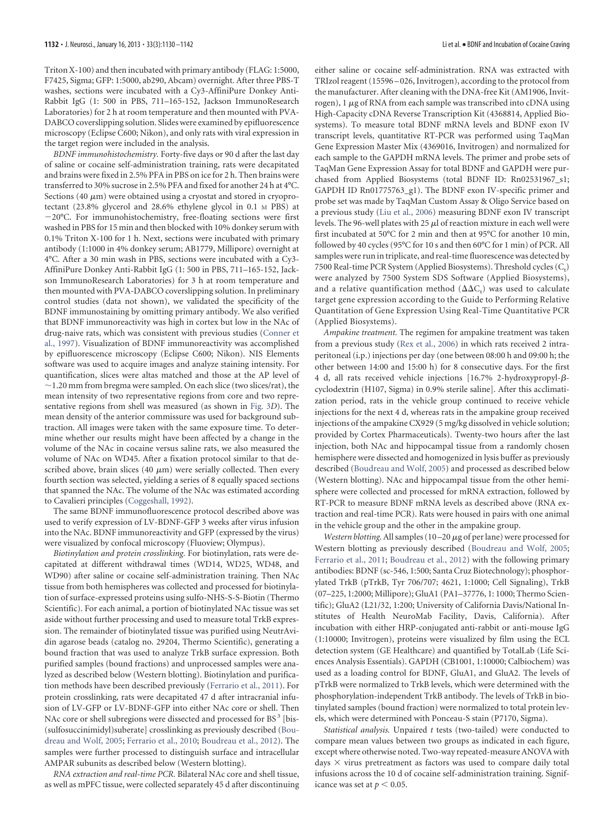Triton X-100) and then incubated with primary antibody (FLAG: 1:5000, F7425, Sigma; GFP: 1:5000, ab290, Abcam) overnight. After three PBS-T washes, sections were incubated with a Cy3-AffiniPure Donkey Anti-Rabbit IgG (1: 500 in PBS, 711–165-152, Jackson ImmunoResearch Laboratories) for 2 h at room temperature and then mounted with PVA-DABCO coverslipping solution. Slides were examined by epifluorescence microscopy (Eclipse C600; Nikon), and only rats with viral expression in the target region were included in the analysis.

*BDNF immunohistochemistry.* Forty-five days or 90 d after the last day of saline or cocaine self-administration training, rats were decapitated and brains were fixed in 2.5% PFA in PBS on ice for 2 h. Then brains were transferred to 30% sucrose in 2.5% PFA and fixed for another 24 h at 4°C. Sections (40  $\mu$ m) were obtained using a cryostat and stored in cryoprotectant (23.8% glycerol and 28.6% ethylene glycol in 0.1 M PBS) at 20°C. For immunohistochemistry, free-floating sections were first washed in PBS for 15 min and then blocked with 10% donkey serum with 0.1% Triton X-100 for 1 h. Next, sections were incubated with primary antibody (1:1000 in 4% donkey serum; AB1779, Millipore) overnight at 4°C. After a 30 min wash in PBS, sections were incubated with a Cy3- AffiniPure Donkey Anti-Rabbit IgG (1: 500 in PBS, 711–165-152, Jackson ImmunoResearch Laboratories) for 3 h at room temperature and then mounted with PVA-DABCO coverslipping solution. In preliminary control studies (data not shown), we validated the specificity of the BDNF immunostaining by omitting primary antibody. We also verified that BDNF immunoreactivity was high in cortex but low in the NAc of drug-naive rats, which was consistent with previous studies (Conner et al., 1997). Visualization of BDNF immunoreactivity was accomplished by epifluorescence microscopy (Eclipse C600; Nikon). NIS Elements software was used to acquire images and analyze staining intensity. For quantification, slices were altas matched and those at the AP level of  $\sim$ 1.20 mm from bregma were sampled. On each slice (two slices/rat), the mean intensity of two representative regions from core and two representative regions from shell was measured (as shown in Fig. 3*D*). The mean density of the anterior commissure was used for background subtraction. All images were taken with the same exposure time. To determine whether our results might have been affected by a change in the volume of the NAc in cocaine versus saline rats, we also measured the volume of NAc on WD45. After a fixation protocol similar to that described above, brain slices (40  $\mu$ m) were serially collected. Then every fourth section was selected, yielding a series of 8 equally spaced sections that spanned the NAc. The volume of the NAc was estimated according to Cavalieri principles (Coggeshall, 1992).

The same BDNF immunofluorescence protocol described above was used to verify expression of LV-BDNF-GFP 3 weeks after virus infusion into the NAc. BDNF immunoreactivity and GFP (expressed by the virus) were visualized by confocal microscopy (Fluoview; Olympus).

*Biotinylation and protein crosslinking.* For biotinylation, rats were decapitated at different withdrawal times (WD14, WD25, WD48, and WD90) after saline or cocaine self-administration training. Then NAc tissue from both hemispheres was collected and processed for biotinylation of surface-expressed proteins using sulfo-NHS-S-S-Biotin (Thermo Scientific). For each animal, a portion of biotinylated NAc tissue was set aside without further processing and used to measure total TrkB expression. The remainder of biotinylated tissue was purified using NeutrAvidin agarose beads (catalog no. 29204, Thermo Scientific), generating a bound fraction that was used to analyze TrkB surface expression. Both purified samples (bound fractions) and unprocessed samples were analyzed as described below (Western blotting). Biotinylation and purification methods have been described previously (Ferrario et al., 2011). For protein crosslinking, rats were decapitated 47 d after intracranial infusion of LV-GFP or LV-BDNF-GFP into either NAc core or shell. Then NAc core or shell subregions were dissected and processed for BS<sup>3</sup> [bis-(sulfosuccinimidyl)suberate] crosslinking as previously described (Boudreau and Wolf, 2005; Ferrario et al., 2010; Boudreau et al., 2012). The samples were further processed to distinguish surface and intracellular AMPAR subunits as described below (Western blotting).

*RNA extraction and real-time PCR.* Bilateral NAc core and shell tissue, as well as mPFC tissue, were collected separately 45 d after discontinuing either saline or cocaine self-administration. RNA was extracted with TRIzol reagent (15596 – 026, Invitrogen), according to the protocol from the manufacturer. After cleaning with the DNA-free Kit (AM1906, Invitrogen),  $1 \mu$ g of RNA from each sample was transcribed into cDNA using High-Capacity cDNA Reverse Transcription Kit (4368814, Applied Biosystems). To measure total BDNF mRNA levels and BDNF exon IV transcript levels, quantitative RT-PCR was performed using TaqMan Gene Expression Master Mix (4369016, Invitrogen) and normalized for each sample to the GAPDH mRNA levels. The primer and probe sets of TaqMan Gene Expression Assay for total BDNF and GAPDH were purchased from Applied Biosystems (total BDNF ID: Rn02531967\_s1; GAPDH ID Rn01775763\_g1). The BDNF exon IV-specific primer and probe set was made by TaqMan Custom Assay & Oligo Service based on a previous study (Liu et al., 2006) measuring BDNF exon IV transcript levels. The 96-well plates with 25  $\mu$ l of reaction mixture in each well were first incubated at 50°C for 2 min and then at 95°C for another 10 min, followed by 40 cycles (95°C for 10 s and then 60°C for 1 min) of PCR. All samples were run in triplicate, and real-time fluorescence was detected by 7500 Real-time PCR System (Applied Biosystems). Threshold cycles  $(C_t)$ were analyzed by 7500 System SDS Software (Applied Biosystems), and a relative quantification method  $(\Delta \Delta C_t)$  was used to calculate target gene expression according to the Guide to Performing Relative Quantitation of Gene Expression Using Real-Time Quantitative PCR (Applied Biosystems).

*Ampakine treatment.* The regimen for ampakine treatment was taken from a previous study (Rex et al., 2006) in which rats received 2 intraperitoneal (i.p.) injections per day (one between 08:00 h and 09:00 h; the other between 14:00 and 15:00 h) for 8 consecutive days. For the first 4 d, all rats received vehicle injections  $[16.7\%$  2-hydroxypropyl- $\beta$ cyclodextrin (H107, Sigma) in 0.9% sterile saline]. After this acclimatization period, rats in the vehicle group continued to receive vehicle injections for the next 4 d, whereas rats in the ampakine group received injections of the ampakine CX929 (5 mg/kg dissolved in vehicle solution; provided by Cortex Pharmaceuticals). Twenty-two hours after the last injection, both NAc and hippocampal tissue from a randomly chosen hemisphere were dissected and homogenized in lysis buffer as previously described (Boudreau and Wolf, 2005) and processed as described below (Western blotting). NAc and hippocampal tissue from the other hemisphere were collected and processed for mRNA extraction, followed by RT-PCR to measure BDNF mRNA levels as described above (RNA extraction and real-time PCR). Rats were housed in pairs with one animal in the vehicle group and the other in the ampakine group.

*Western blotting.* All samples  $(10-20 \mu g)$  of per lane) were processed for Western blotting as previously described (Boudreau and Wolf, 2005; Ferrario et al., 2011; Boudreau et al., 2012) with the following primary antibodies: BDNF (sc-546, 1:500; Santa Cruz Biotechnology); phosphorylated TrkB (pTrkB, Tyr 706/707; 4621, 1:1000; Cell Signaling), TrkB (07–225, 1:2000; Millipore); GluA1 (PA1–37776, 1: 1000; Thermo Scientific); GluA2 (L21/32, 1:200; University of California Davis/National Institutes of Health NeuroMab Facility, Davis, California). After incubation with either HRP-conjugated anti-rabbit or anti-mouse IgG (1:10000; Invitrogen), proteins were visualized by film using the ECL detection system (GE Healthcare) and quantified by TotalLab (Life Sciences Analysis Essentials). GAPDH (CB1001, 1:10000; Calbiochem) was used as a loading control for BDNF, GluA1, and GluA2. The levels of pTrkB were normalized to TrkB levels, which were determined with the phosphorylation-independent TrkB antibody. The levels of TrkB in biotinylated samples (bound fraction) were normalized to total protein levels, which were determined with Ponceau-S stain (P7170, Sigma).

*Statistical analysis.* Unpaired *t* tests (two-tailed) were conducted to compare mean values between two groups as indicated in each figure, except where otherwise noted. Two-way repeated-measure ANOVA with days  $\times$  virus pretreatment as factors was used to compare daily total infusions across the 10 d of cocaine self-administration training. Significance was set at  $p < 0.05$ .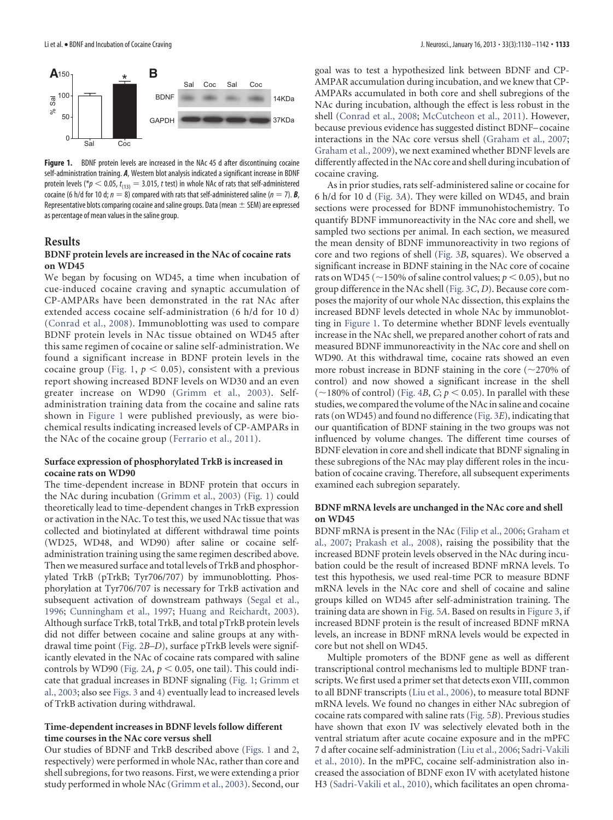

Figure 1. BDNF protein levels are increased in the NAc 45 d after discontinuing cocaine self-administration training. *A*, Western blot analysis indicated a significant increase in BDNF protein levels (\* $p < 0.05$ ,  $t_{(13)} = 3.015$ , t test) in whole NAc of rats that self-administered cocaine (6 h/d for 10 d;  $n = 8$ ) compared with rats that self-administered saline ( $n = 7$ ). **B**, Representative blots comparing cocaine and saline groups. Data (mean  $\pm$  SEM) are expressed as percentage of mean values in the saline group.

### **Results**

#### **BDNF protein levels are increased in the NAc of cocaine rats on WD45**

We began by focusing on WD45, a time when incubation of cue-induced cocaine craving and synaptic accumulation of CP-AMPARs have been demonstrated in the rat NAc after extended access cocaine self-administration (6 h/d for 10 d) (Conrad et al., 2008). Immunoblotting was used to compare BDNF protein levels in NAc tissue obtained on WD45 after this same regimen of cocaine or saline self-administration. We found a significant increase in BDNF protein levels in the cocaine group (Fig. 1,  $p < 0.05$ ), consistent with a previous report showing increased BDNF levels on WD30 and an even greater increase on WD90 (Grimm et al., 2003). Selfadministration training data from the cocaine and saline rats shown in Figure 1 were published previously, as were biochemical results indicating increased levels of CP-AMPARs in the NAc of the cocaine group (Ferrario et al., 2011).

### **Surface expression of phosphorylated TrkB is increased in cocaine rats on WD90**

The time-dependent increase in BDNF protein that occurs in the NAc during incubation (Grimm et al., 2003) (Fig. 1) could theoretically lead to time-dependent changes in TrkB expression or activation in the NAc. To test this, we used NAc tissue that was collected and biotinylated at different withdrawal time points (WD25, WD48, and WD90) after saline or cocaine selfadministration training using the same regimen described above. Then we measured surface and total levels of TrkB and phosphorylated TrkB (pTrkB; Tyr706/707) by immunoblotting. Phosphorylation at Tyr706/707 is necessary for TrkB activation and subsequent activation of downstream pathways (Segal et al., 1996; Cunningham et al., 1997; Huang and Reichardt, 2003). Although surface TrkB, total TrkB, and total pTrkB protein levels did not differ between cocaine and saline groups at any withdrawal time point (Fig. 2*B*–*D*), surface pTrkB levels were significantly elevated in the NAc of cocaine rats compared with saline controls by WD90 (Fig. 2A,  $p < 0.05$ , one tail). This could indicate that gradual increases in BDNF signaling (Fig. 1; Grimm et al., 2003; also see Figs. 3 and 4) eventually lead to increased levels of TrkB activation during withdrawal.

#### **Time-dependent increases in BDNF levels follow different time courses in the NAc core versus shell**

Our studies of BDNF and TrkB described above (Figs. 1 and 2, respectively) were performed in whole NAc, rather than core and shell subregions, for two reasons. First, we were extending a prior study performed in whole NAc (Grimm et al., 2003). Second, our goal was to test a hypothesized link between BDNF and CP-AMPAR accumulation during incubation, and we knew that CP-AMPARs accumulated in both core and shell subregions of the NAc during incubation, although the effect is less robust in the shell (Conrad et al., 2008; McCutcheon et al., 2011). However, because previous evidence has suggested distinct BDNF– cocaine interactions in the NAc core versus shell (Graham et al., 2007; Graham et al., 2009), we next examined whether BDNF levels are differently affected in the NAc core and shell during incubation of cocaine craving.

As in prior studies, rats self-administered saline or cocaine for 6 h/d for 10 d (Fig. 3*A*). They were killed on WD45, and brain sections were processed for BDNF immunohistochemistry. To quantify BDNF immunoreactivity in the NAc core and shell, we sampled two sections per animal. In each section, we measured the mean density of BDNF immunoreactivity in two regions of core and two regions of shell (Fig. 3*B*, squares). We observed a significant increase in BDNF staining in the NAc core of cocaine rats on WD45 ( $\sim$ 150% of saline control values;  $p$  < 0.05), but no group difference in the NAc shell (Fig. 3*C*, *D*). Because core composes the majority of our whole NAc dissection, this explains the increased BDNF levels detected in whole NAc by immunoblotting in Figure 1. To determine whether BDNF levels eventually increase in the NAc shell, we prepared another cohort of rats and measured BDNF immunoreactivity in the NAc core and shell on WD90. At this withdrawal time, cocaine rats showed an even more robust increase in BDNF staining in the core  $(\sim 270\%$  of control) and now showed a significant increase in the shell ( $\sim$ 180% of control) (Fig. 4*B*, *C*;  $p$  < 0.05). In parallel with these studies, we compared the volume of the NAc in saline and cocaine rats (on WD45) and found no difference (Fig. 3*E*), indicating that our quantification of BDNF staining in the two groups was not influenced by volume changes. The different time courses of BDNF elevation in core and shell indicate that BDNF signaling in these subregions of the NAc may play different roles in the incubation of cocaine craving. Therefore, all subsequent experiments examined each subregion separately.

#### **BDNF mRNA levels are unchanged in the NAc core and shell on WD45**

BDNF mRNA is present in the NAc (Filip et al., 2006; Graham et al., 2007; Prakash et al., 2008), raising the possibility that the increased BDNF protein levels observed in the NAc during incubation could be the result of increased BDNF mRNA levels. To test this hypothesis, we used real-time PCR to measure BDNF mRNA levels in the NAc core and shell of cocaine and saline groups killed on WD45 after self-administration training. The training data are shown in Fig. 5*A*. Based on results in Figure 3, if increased BDNF protein is the result of increased BDNF mRNA levels, an increase in BDNF mRNA levels would be expected in core but not shell on WD45.

Multiple promoters of the BDNF gene as well as different transcriptional control mechanisms led to multiple BDNF transcripts. We first used a primer set that detects exon VIII, common to all BDNF transcripts (Liu et al., 2006), to measure total BDNF mRNA levels. We found no changes in either NAc subregion of cocaine rats compared with saline rats (Fig. 5*B*). Previous studies have shown that exon IV was selectively elevated both in the ventral striatum after acute cocaine exposure and in the mPFC 7 d after cocaine self-administration (Liu et al., 2006; Sadri-Vakili et al., 2010). In the mPFC, cocaine self-administration also increased the association of BDNF exon IV with acetylated histone H3 (Sadri-Vakili et al., 2010), which facilitates an open chroma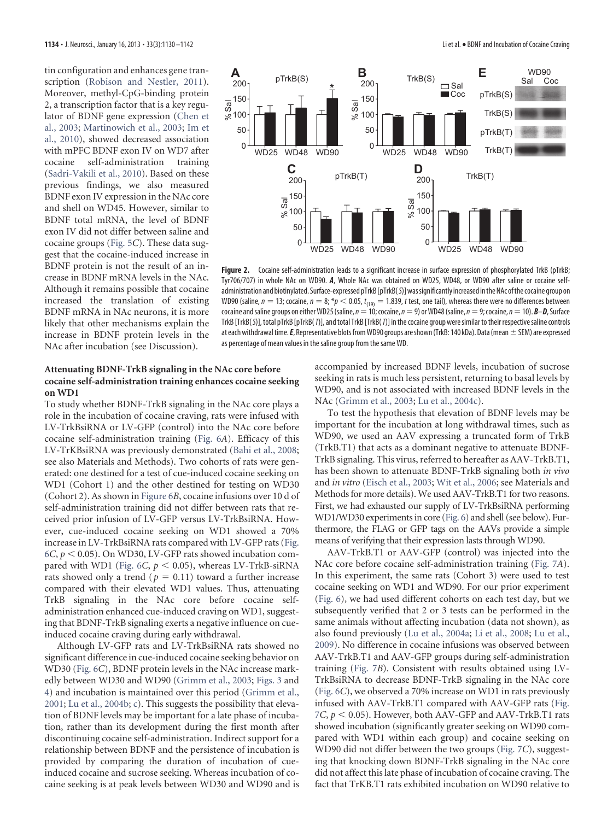tin configuration and enhances gene transcription (Robison and Nestler, 2011). Moreover, methyl-CpG-binding protein 2, a transcription factor that is a key regulator of BDNF gene expression (Chen et al., 2003; Martinowich et al., 2003; Im et al., 2010), showed decreased association with mPFC BDNF exon IV on WD7 after cocaine self-administration training (Sadri-Vakili et al., 2010). Based on these previous findings, we also measured BDNF exon IV expression in the NAc core and shell on WD45. However, similar to BDNF total mRNA, the level of BDNF exon IV did not differ between saline and cocaine groups (Fig. 5*C*). These data suggest that the cocaine-induced increase in BDNF protein is not the result of an increase in BDNF mRNA levels in the NAc. Although it remains possible that cocaine increased the translation of existing BDNF mRNA in NAc neurons, it is more likely that other mechanisms explain the increase in BDNF protein levels in the NAc after incubation (see Discussion).



Figure 2. Cocaine self-administration leads to a significant increase in surface expression of phosphorylated TrkB (pTrkB; Tyr706/707) in whole NAc on WD90. *A*, Whole NAc was obtained on WD25, WD48, or WD90 after saline or cocaine selfadministration and biotinylated. Surface-expressed pTrkB [pTrkB(S)] was significantly increased in the NAc of the cocaine group on WD90 (saline,  $n = 13$ ; cocaine,  $n = 8; *p < 0.05$ ,  $t_{(19)} = 1.839$ , t test, one tail), whereas there were no differences between cocaine and saline groups on either WD25 (saline,  $n=10$ ; cocaine,  $n=9$ ) or WD48 (saline,  $n=9$ ; cocaine,  $n=10$ ).  $B-D$ , Surface TrkB [TrkB(S)], total pTrkB [pTrkB(T)], and total TrkB [TrkB(T)] in the cocaine group were similar to their respective saline controls at each withdrawal time.  $E$ , Representative blots from WD90 groups are shown (TrkB: 140 kDa). Data (mean  $\pm$  SEM) are expressed as percentage of mean values in the saline group from the same WD.

#### **Attenuating BDNF-TrkB signaling in the NAc core before cocaine self-administration training enhances cocaine seeking on WD1**

To study whether BDNF-TrkB signaling in the NAc core plays a role in the incubation of cocaine craving, rats were infused with LV-TrkBsiRNA or LV-GFP (control) into the NAc core before cocaine self-administration training (Fig. 6*A*). Efficacy of this LV-TrKBsiRNA was previously demonstrated (Bahi et al., 2008; see also Materials and Methods). Two cohorts of rats were generated: one destined for a test of cue-induced cocaine seeking on WD1 (Cohort 1) and the other destined for testing on WD30 (Cohort 2). As shown in Figure 6*B*, cocaine infusions over 10 d of self-administration training did not differ between rats that received prior infusion of LV-GFP versus LV-TrkBsiRNA. However, cue-induced cocaine seeking on WD1 showed a 70% increase in LV-TrkBsiRNA rats compared with LV-GFP rats (Fig.  $6C, p \leq 0.05$ ). On WD30, LV-GFP rats showed incubation compared with WD1 (Fig.  $6C$ ,  $p < 0.05$ ), whereas LV-TrkB-siRNA rats showed only a trend ( $p = 0.11$ ) toward a further increase compared with their elevated WD1 values. Thus, attenuating TrkB signaling in the NAc core before cocaine selfadministration enhanced cue-induced craving on WD1, suggesting that BDNF-TrkB signaling exerts a negative influence on cueinduced cocaine craving during early withdrawal.

Although LV-GFP rats and LV-TrkBsiRNA rats showed no significant difference in cue-induced cocaine seeking behavior on WD30 (Fig. 6*C*), BDNF protein levels in the NAc increase markedly between WD30 and WD90 (Grimm et al., 2003; Figs. 3 and 4) and incubation is maintained over this period (Grimm et al., 2001; Lu et al., 2004b; c). This suggests the possibility that elevation of BDNF levels may be important for a late phase of incubation, rather than its development during the first month after discontinuing cocaine self-administration. Indirect support for a relationship between BDNF and the persistence of incubation is provided by comparing the duration of incubation of cueinduced cocaine and sucrose seeking. Whereas incubation of cocaine seeking is at peak levels between WD30 and WD90 and is

accompanied by increased BDNF levels, incubation of sucrose seeking in rats is much less persistent, returning to basal levels by WD90, and is not associated with increased BDNF levels in the NAc (Grimm et al., 2003; Lu et al., 2004c).

To test the hypothesis that elevation of BDNF levels may be important for the incubation at long withdrawal times, such as WD90, we used an AAV expressing a truncated form of TrkB (TrkB.T1) that acts as a dominant negative to attenuate BDNF-TrkB signaling. This virus, referred to hereafter as AAV-TrkB.T1, has been shown to attenuate BDNF-TrkB signaling both *in vivo* and *in vitro* (Eisch et al., 2003; Wit et al., 2006; see Materials and Methods for more details). We used AAV-TrkB.T1 for two reasons. First, we had exhausted our supply of LV-TrkBsiRNA performing WD1/WD30 experiments in core (Fig. 6) and shell (see below). Furthermore, the FLAG or GFP tags on the AAVs provide a simple means of verifying that their expression lasts through WD90.

AAV-TrkB.T1 or AAV-GFP (control) was injected into the NAc core before cocaine self-administration training (Fig. 7*A*). In this experiment, the same rats (Cohort 3) were used to test cocaine seeking on WD1 and WD90. For our prior experiment (Fig. 6), we had used different cohorts on each test day, but we subsequently verified that 2 or 3 tests can be performed in the same animals without affecting incubation (data not shown), as also found previously (Lu et al., 2004a; Li et al., 2008; Lu et al., 2009). No difference in cocaine infusions was observed between AAV-TrkB.T1 and AAV-GFP groups during self-administration training (Fig. 7*B*). Consistent with results obtained using LV-TrkBsiRNA to decrease BDNF-TrkB signaling in the NAc core (Fig. 6*C*), we observed a 70% increase on WD1 in rats previously infused with AAV-TrkB.T1 compared with AAV-GFP rats (Fig.  $7C$ ,  $p$  < 0.05). However, both AAV-GFP and AAV-TrkB.T1 rats showed incubation (significantly greater seeking on WD90 compared with WD1 within each group) and cocaine seeking on WD90 did not differ between the two groups (Fig. 7*C*), suggesting that knocking down BDNF-TrkB signaling in the NAc core did not affect this late phase of incubation of cocaine craving. The fact that TrKB.T1 rats exhibited incubation on WD90 relative to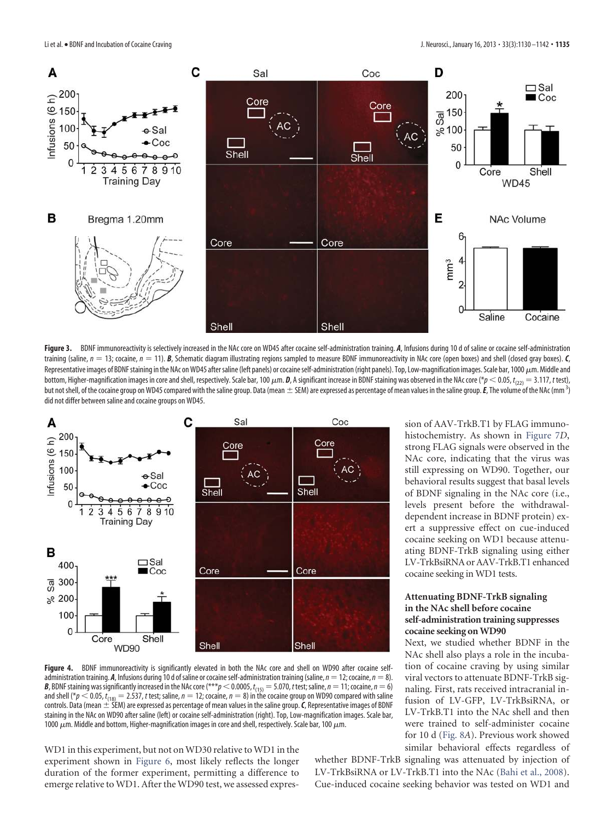

Figure 3. BDNF immunoreactivity is selectively increased in the NAc core on WD45 after cocaine self-administration training. *A*, Infusions during 10 d of saline or cocaine self-administration training (saline,  $n = 13$ ; cocaine,  $n = 11$ ). *B*, Schematic diagram illustrating regions sampled to measure BDNF immunoreactivity in NAc core (open boxes) and shell (closed gray boxes). *C*, Representative images of BDNF staining in the NAc on WD45 after saline (left panels) or cocaine self-administration (right panels). Top, Low-magnification images. Scale bar, 1000  $\mu$ m. Middle and bottom, Higher-magnification images in core and shell, respectively. Scale bar, 100  $\mu$ m. **D**, A significant increase in BDNF staining was observed in the NAc core (\* $p$   $<$  0.05,  $t_{(22)}=$  3.117, *t* test), but not shell, of the cocaine group on WD45 compared with the saline group. Data (mean  $\pm$  SEM) are expressed as percentage of mean values in the saline group.  $\bm{\mathit{E}}$ , The volume of the NAc (mm  $^3$ ) did not differ between saline and cocaine groups on WD45.



Figure 4. BDNF immunoreactivity is significantly elevated in both the NAc core and shell on WD90 after cocaine selfadministration training. *A*, Infusions during 10 d of saline or cocaine self-administration training (saline,  $n=12$ ; cocaine,  $n=8$ ). *B*, BDNF staining was significantly increased in the NAc core (\*\*\* $p$   $<$  0.0005,  $t_{(15)}$   $=$  5.070, *t* test; saline,  $n$   $=$  11; cocaine,  $n$   $=$  6) and shell (\* $p$   $<$  0.05,  $t_{\rm (18)}$   $= 2.537$ , t test; saline,  $n=12$ ; cocaine,  $n=8)$  in the cocaine group on WD90 compared with saline<br>controls. Data (mean  $\pm$  SEM) are expressed as percentage of mean values in the sa staining in the NAc on WD90 after saline (left) or cocaine self-administration (right). Top, Low-magnification images. Scale bar, 1000  $\mu$ m. Middle and bottom, Higher-magnification images in core and shell, respectively. Scale bar, 100  $\mu$ m.

WD1 in this experiment, but not on WD30 relative to WD1 in the experiment shown in Figure 6, most likely reflects the longer duration of the former experiment, permitting a difference to emerge relative to WD1. After the WD90 test, we assessed expression of AAV-TrkB.T1 by FLAG immunohistochemistry. As shown in Figure 7*D*, strong FLAG signals were observed in the NAc core, indicating that the virus was still expressing on WD90. Together, our behavioral results suggest that basal levels of BDNF signaling in the NAc core (i.e., levels present before the withdrawaldependent increase in BDNF protein) exert a suppressive effect on cue-induced cocaine seeking on WD1 because attenuating BDNF-TrkB signaling using either LV-TrkBsiRNA or AAV-TrkB.T1 enhanced cocaine seeking in WD1 tests.

#### **Attenuating BDNF-TrkB signaling in the NAc shell before cocaine self-administration training suppresses cocaine seeking on WD90**

Next, we studied whether BDNF in the NAc shell also plays a role in the incubation of cocaine craving by using similar viral vectors to attenuate BDNF-TrkB signaling. First, rats received intracranial infusion of LV-GFP, LV-TrkBsiRNA, or LV-TrkB.T1 into the NAc shell and then were trained to self-administer cocaine for 10 d (Fig. 8*A*). Previous work showed similar behavioral effects regardless of

whether BDNF-TrkB signaling was attenuated by injection of LV-TrkBsiRNA or LV-TrkB.T1 into the NAc (Bahi et al., 2008). Cue-induced cocaine seeking behavior was tested on WD1 and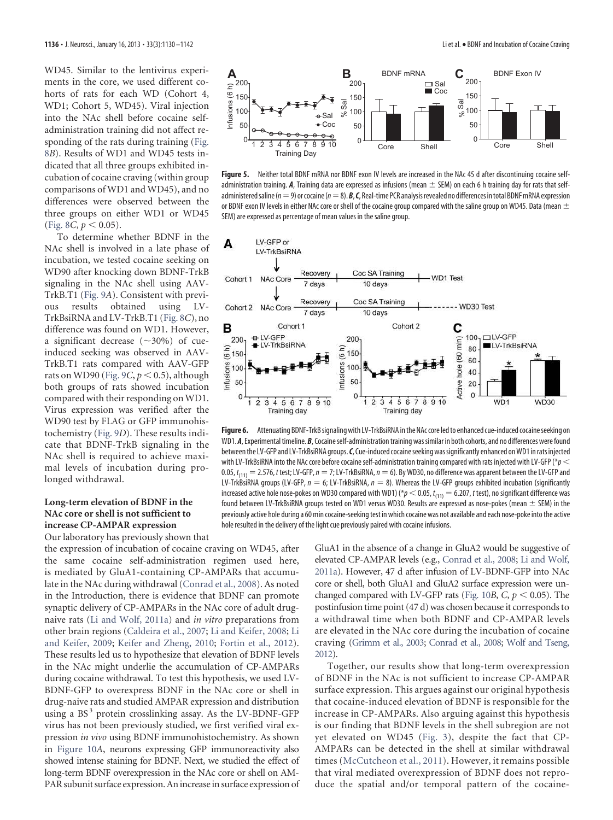WD45. Similar to the lentivirus experiments in the core, we used different cohorts of rats for each WD (Cohort 4, WD1; Cohort 5, WD45). Viral injection into the NAc shell before cocaine selfadministration training did not affect responding of the rats during training (Fig. 8*B*). Results of WD1 and WD45 tests indicated that all three groups exhibited incubation of cocaine craving (within group comparisons of WD1 and WD45), and no differences were observed between the three groups on either WD1 or WD45 (Fig. 8*C*,  $p < 0.05$ ).

To determine whether BDNF in the NAc shell is involved in a late phase of incubation, we tested cocaine seeking on WD90 after knocking down BDNF-TrkB signaling in the NAc shell using AAV-TrkB.T1 (Fig. 9*A*). Consistent with previous results obtained using LV-TrkBsiRNA and LV-TrkB.T1 (Fig. 8*C*), no difference was found on WD1. However, a significant decrease  $(\sim 30\%)$  of cueinduced seeking was observed in AAV-TrkB.T1 rats compared with AAV-GFP rats on WD90 (Fig.  $9C, p < 0.5$ ), although both groups of rats showed incubation compared with their responding on WD1. Virus expression was verified after the WD90 test by FLAG or GFP immunohistochemistry (Fig. 9*D*). These results indicate that BDNF-TrkB signaling in the NAc shell is required to achieve maximal levels of incubation during prolonged withdrawal.

## **Long-term elevation of BDNF in the NAc core or shell is not sufficient to increase CP-AMPAR expression**

Our laboratory has previously shown that

the expression of incubation of cocaine craving on WD45, after the same cocaine self-administration regimen used here, is mediated by GluA1-containing CP-AMPARs that accumulate in the NAc during withdrawal (Conrad et al., 2008). As noted in the Introduction, there is evidence that BDNF can promote synaptic delivery of CP-AMPARs in the NAc core of adult drugnaive rats (Li and Wolf, 2011a) and *in vitro* preparations from other brain regions (Caldeira et al., 2007; Li and Keifer, 2008; Li and Keifer, 2009; Keifer and Zheng, 2010; Fortin et al., 2012). These results led us to hypothesize that elevation of BDNF levels in the NAc might underlie the accumulation of CP-AMPARs during cocaine withdrawal. To test this hypothesis, we used LV-BDNF-GFP to overexpress BDNF in the NAc core or shell in drug-naive rats and studied AMPAR expression and distribution using a BS<sup>3</sup> protein crosslinking assay. As the LV-BDNF-GFP virus has not been previously studied, we first verified viral expression *in vivo* using BDNF immunohistochemistry. As shown in Figure 10*A*, neurons expressing GFP immunoreactivity also showed intense staining for BDNF. Next, we studied the effect of long-term BDNF overexpression in the NAc core or shell on AM-PAR subunit surface expression. An increase in surface expression of



**Figure 5.** Neither total BDNF mRNA nor BDNF exon IV levels are increased in the NAc 45 d after discontinuing cocaine selfadministration training. A, Training data are expressed as infusions (mean  $\pm$  SEM) on each 6 h training day for rats that selfadministered saline ( $n=9$ ) or cocaine ( $n=8$ ).  $\mathcal{B}, \mathcal{C}$ , Real-time PCR analysis revealed no differences in total BDNF mRNA expression or BDNF exon IV levels in either NAc core or shell of the cocaine group compared with the saline group on WD45. Data (mean  $\pm$ SEM) are expressed as percentage of mean values in the saline group.



**Figure 6.** Attenuating BDNF-TrkB signaling with LV-TrkBsiRNA in the NAc core led to enhanced cue-induced cocaine seeking on WD1. *A*, Experimental timeline. *B*, Cocaine self-administration training was similar in both cohorts, and no differences were found between the LV-GFP and LV-TrkBsiRNA groups.*C*, Cue-induced cocaine seeking was significantly enhanced on WD1 in rats injected with LV-TrkBsiRNA into the NAc core before cocaine self-administration training compared with rats injected with LV-GFP ( $*_p$  < 0.05,  $t_{(11)} = 2.576$ , t test; LV-GFP,  $n = 7$ ; LV-TrkBsiRNA,  $n = 6$ ). By WD30, no difference was apparent between the LV-GFP and LV-TrkBsiRNA groups (LV-GFP,  $n = 6$ ; LV-TrkBsiRNA,  $n = 8$ ). Whereas the LV-GFP groups exhibited incubation (significantly increased active hole nose-pokes on WD30 compared with WD1) (\* $p$   $<$  0.05,  $t_{(11)}$   $=$  6.207,  $t$  test), no significant difference was found between LV-TrkBsiRNA groups tested on WD1 versus WD30. Results are expressed as nose-pokes (mean  $\pm$  SEM) in the previously active hole during a 60 min cocaine-seeking test in which cocaine was not available and each nose-poke into the active hole resulted in the delivery of the light cue previously paired with cocaine infusions.

GluA1 in the absence of a change in GluA2 would be suggestive of elevated CP-AMPAR levels (e.g., Conrad et al., 2008; Li and Wolf, 2011a). However, 47 d after infusion of LV-BDNF-GFP into NAc core or shell, both GluA1 and GluA2 surface expression were unchanged compared with LV-GFP rats (Fig. 10*B*,  $C, p < 0.05$ ). The postinfusion time point (47 d) was chosen because it corresponds to a withdrawal time when both BDNF and CP-AMPAR levels are elevated in the NAc core during the incubation of cocaine craving (Grimm et al., 2003; Conrad et al., 2008; Wolf and Tseng, 2012).

Together, our results show that long-term overexpression of BDNF in the NAc is not sufficient to increase CP-AMPAR surface expression. This argues against our original hypothesis that cocaine-induced elevation of BDNF is responsible for the increase in CP-AMPARs. Also arguing against this hypothesis is our finding that BDNF levels in the shell subregion are not yet elevated on WD45 (Fig. 3), despite the fact that CP-AMPARs can be detected in the shell at similar withdrawal times (McCutcheon et al., 2011). However, it remains possible that viral mediated overexpression of BDNF does not reproduce the spatial and/or temporal pattern of the cocaine-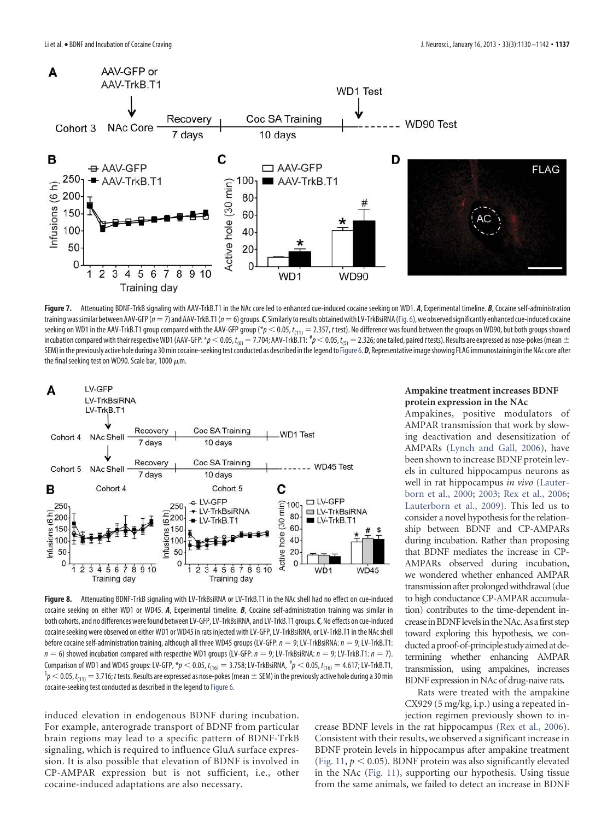

Figure 7. Attenuating BDNF-TrkB signaling with AAV-TrkB.T1 in the NAc core led to enhanced cue-induced cocaine seeking on WD1. *A*, Experimental timeline. *B*, Cocaine self-administration training was similar between AAV-GFP (n = 7) and AAV-TrkB.T1 (n = 6) groups. C, Similarly to results obtained with LV-TrkBsiRNA (Fig. 6), we observed significantly enhanced cue-induced cocaine seeking on WD1 in the AAV-TrkB.T1 group compared with the AAV-GFP group (\* $p < 0.05$ ,  $t_{(11)} = 2.357$ , t test). No difference was found between the groups on WD90, but both groups showed incubation compared with their respective WD1 (AAV-GFP: \* $\rho$   $<$  0.05,  $t_{\rm (6)}$   $=$  7.704; AAV-TrkB.T1:  $^{\#}p$   $<$  0.05,  $t_{\rm (5)}$   $=$  2.326; one tailed, paired *t* tests). Results are expressed as nose-pokes (mean  $\pm$ SEM) in the previously active hole during a 30 min cocaine-seeking test conducted as described in the legend to Figure 6. D, Representative image showing FLAG immunostaining in the NAc core after the final seeking test on WD90. Scale bar, 1000  $\mu$ m.



**Figure 8.** Attenuating BDNF-TrkB signaling with LV-TrkBsiRNA or LV-TrkB.T1 in the NAc shell had no effect on cue-induced cocaine seeking on either WD1 or WD45. *A*, Experimental timeline. *B*, Cocaine self-administration training was similar in both cohorts, and no differences were found between LV-GFP, LV-TrkBsiRNA, and LV-TrkB.T1 groups.*C*, No effects on cue-induced cocaine seeking were observed on either WD1 or WD45 in rats injected with LV-GFP, LV-TrkBsiRNA, or LV-TrkB.T1 in the NAc shell before cocaine self-administration training, although all three WD45 groups (LV-GFP:  $n = 9$ ; LV-TrkBsiRNA:  $n = 9$ ; LV-TrkB.T1:  $n = 6$ ) showed incubation compared with respective WD1 groups (LV-GFP:  $n = 9$ ; LV-TrkBsiRNA:  $n = 9$ ; LV-TrkB.T1:  $n = 7$ ). Comparison of WD1 and WD45 groups: LV-GFP,  $^*p$   $<$  0.05,  $t_{(16)}$   $=$  3.758; LV-TrkBsiRNA,  $^{\#}p$   $<$  0.05,  $t_{(16)}$   $=$  4.617; LV-TrkB.T1,  $^5p$   $<$  0.05,  $t_{(11)}$   $=$  3.716; t tests. Results are expressed as nose-pokes (mean  $\pm$  SEM) in the previously active hole during a 30 min cocaine-seeking test conducted as described in the legend to Figure 6.

induced elevation in endogenous BDNF during incubation. For example, anterograde transport of BDNF from particular brain regions may lead to a specific pattern of BDNF-TrkB signaling, which is required to influence GluA surface expression. It is also possible that elevation of BDNF is involved in CP-AMPAR expression but is not sufficient, i.e., other cocaine-induced adaptations are also necessary.

#### **Ampakine treatment increases BDNF protein expression in the NAc**

Ampakines, positive modulators of AMPAR transmission that work by slowing deactivation and desensitization of AMPARs (Lynch and Gall, 2006), have been shown to increase BDNF protein levels in cultured hippocampus neurons as well in rat hippocampus *in vivo* (Lauterborn et al., 2000; 2003; Rex et al., 2006; Lauterborn et al., 2009). This led us to consider a novel hypothesis for the relationship between BDNF and CP-AMPARs during incubation. Rather than proposing that BDNF mediates the increase in CP-AMPARs observed during incubation, we wondered whether enhanced AMPAR transmission after prolonged withdrawal (due to high conductance CP-AMPAR accumulation) contributes to the time-dependent increaseinBDNFlevelsintheNAc.Asafirststep toward exploring this hypothesis, we conducted a proof-of-principle study aimed at determining whether enhancing AMPAR transmission, using ampakines, increases BDNF expression in NAc of drug-naive rats.

Rats were treated with the ampakine CX929 (5 mg/kg, i.p.) using a repeated injection regimen previously shown to in-

crease BDNF levels in the rat hippocampus (Rex et al., 2006). Consistent with their results, we observed a significant increase in BDNF protein levels in hippocampus after ampakine treatment (Fig. 11,  $p < 0.05$ ). BDNF protein was also significantly elevated in the NAc (Fig. 11), supporting our hypothesis. Using tissue from the same animals, we failed to detect an increase in BDNF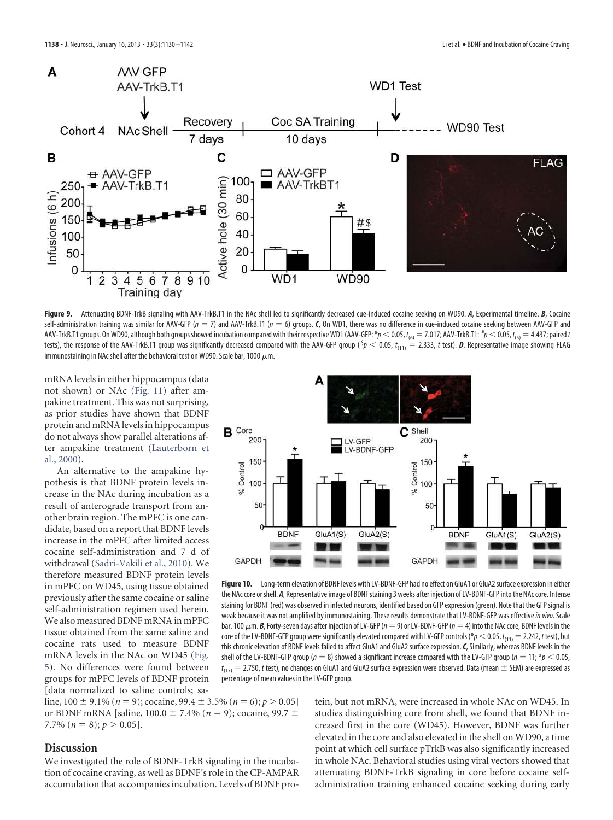

Figure 9. Attenuating BDNF-TrkB signaling with AAV-TrkB.T1 in the NAc shell led to significantly decreased cue-induced cocaine seeking on WD90. *A*, Experimental timeline. *B*, Cocaine self-administration training was similar for AAV-GFP (n = 7) and AAV-TrkB.T1 (n = 6) groups. *C*, On WD1, there was no difference in cue-induced cocaine seeking between AAV-GFP and AAV-TrkB.T1 groups. On WD90, although both groups showed incubation compared with their respective WD1 (AAV-GFP: \* $p < 0.05$ ,  $t_{\rm (6)} = 7.017$ ; AAV-TrkB.T1:  $^{\#}p < 0.05$ ,  $t_{\rm (5)} = 4.437$ ; paired t tests), the response of the AAV-TrkB.T1 group was significantly decreased compared with the AAV-GFP group ( $\delta p < 0.05$ ,  $t_{(11)} = 2.333$ , t test). D, Representative image showing FLAG immunostaining in NAc shell after the behavioral test on WD90. Scale bar, 1000  $\mu$ m.

mRNA levels in either hippocampus (data not shown) or NAc (Fig. 11) after ampakine treatment. This was not surprising, as prior studies have shown that BDNF protein and mRNA levels in hippocampus do not always show parallel alterations after ampakine treatment (Lauterborn et al., 2000).

An alternative to the ampakine hypothesis is that BDNF protein levels increase in the NAc during incubation as a result of anterograde transport from another brain region. The mPFC is one candidate, based on a report that BDNF levels increase in the mPFC after limited access cocaine self-administration and 7 d of withdrawal (Sadri-Vakili et al., 2010). We therefore measured BDNF protein levels in mPFC on WD45, using tissue obtained previously after the same cocaine or saline self-administration regimen used herein. We also measured BDNF mRNA in mPFC tissue obtained from the same saline and cocaine rats used to measure BDNF mRNA levels in the NAc on WD45 (Fig. 5). No differences were found between groups for mPFC levels of BDNF protein [data normalized to saline controls; sa-



**Figure 10.** Long-term elevation of BDNF levels with LV-BDNF-GFP had no effect on GluA1 or GluA2 surface expression in either the NAc core or shell. *A*, Representative image of BDNF staining 3 weeks after injection of LV-BDNF-GFP into the NAc core. Intense staining for BDNF (red) was observed in infected neurons, identified based on GFP expression (green). Note that the GFP signal is weak because it was not amplified by immunostaining. These results demonstrate that LV-BDNF-GFP was effective in vivo. Scale bar, 100  $\mu$ m. **B**, Forty-seven days after injection of LV-GFP ( $n = 9$ ) or LV-BDNF-GFP ( $n = 4$ ) into the NAc core, BDNF levels in the core of the LV-BDNF-GFP group were significantly elevated compared with LV-GFP controls (\* $p$   $<$  0.05,  $t_{(11)}$   $=$  2.242, t test), but this chronic elevation of BDNF levels failed to affect GluA1 and GluA2 surface expression.*C*, Similarly, whereas BDNF levels in the shell of the LV-BDNF-GFP group ( $n = 8$ ) showed a significant increase compared with the LV-GFP group ( $n = 11$ ; \* $p < 0.05$ ,  $t_{(17)}=$  2.750,  $t$  test), no changes on GluA1 and GluA2 surface expression were observed. Data (mean  $\pm$  SEM) are expressed as percentage of mean values in the LV-GFP group.

line,  $100 \pm 9.1\%$  ( $n = 9$ ); cocaine,  $99.4 \pm 3.5\%$  ( $n = 6$ );  $p > 0.05$ ] or BDNF mRNA [saline,  $100.0 \pm 7.4\%$  ( $n = 9$ ); cocaine,  $99.7 \pm$ 7.7% ( $n = 8$ );  $p > 0.05$ ].

## **Discussion**

We investigated the role of BDNF-TrkB signaling in the incubation of cocaine craving, as well as BDNF's role in the CP-AMPAR accumulation that accompanies incubation. Levels of BDNF protein, but not mRNA, were increased in whole NAc on WD45. In studies distinguishing core from shell, we found that BDNF increased first in the core (WD45). However, BDNF was further elevated in the core and also elevated in the shell on WD90, a time point at which cell surface pTrkB was also significantly increased in whole NAc. Behavioral studies using viral vectors showed that attenuating BDNF-TrkB signaling in core before cocaine selfadministration training enhanced cocaine seeking during early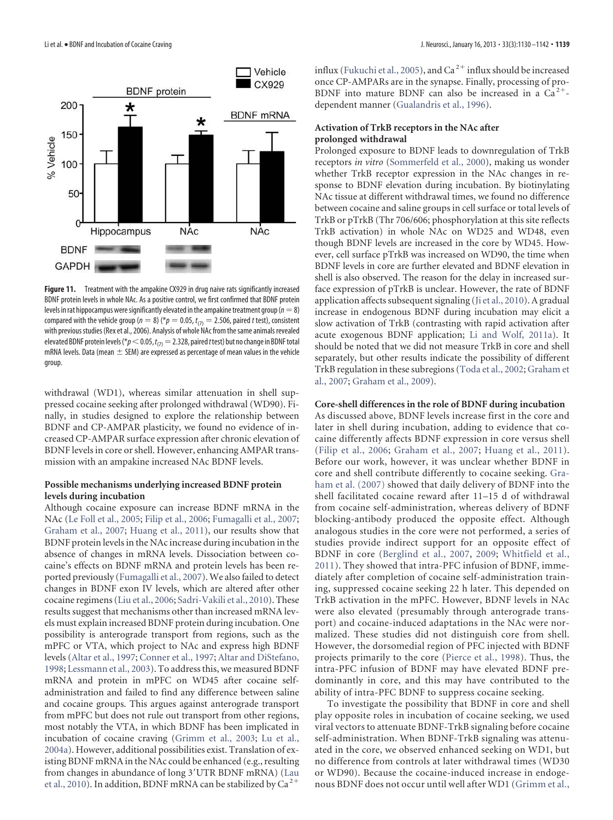

Figure 11. Treatment with the ampakine CX929 in drug naive rats significantly increased BDNF protein levels in whole NAc. As a positive control, we first confirmed that BDNF protein levels in rat hippocampus were significantly elevated in the ampakine treatment group ( $n=8$ ) compared with the vehicle group ( $n = 8$ ) (\* $p = 0.05$ ,  $t_{(7)} = 2.506$ , paired t test), consistent with previous studies (Rex et al., 2006). Analysis of whole NAc from the same animals revealed elevated BDNF protein levels (\* $p$   $<$  0.05,  $t_{(7)}$   $=$  2.328, paired  $t$  test) but no change in BDNF total mRNA levels. Data (mean  $\pm$  SEM) are expressed as percentage of mean values in the vehicle group.

withdrawal (WD1), whereas similar attenuation in shell suppressed cocaine seeking after prolonged withdrawal (WD90). Finally, in studies designed to explore the relationship between BDNF and CP-AMPAR plasticity, we found no evidence of increased CP-AMPAR surface expression after chronic elevation of BDNF levels in core or shell. However, enhancing AMPAR transmission with an ampakine increased NAc BDNF levels.

### **Possible mechanisms underlying increased BDNF protein levels during incubation**

Although cocaine exposure can increase BDNF mRNA in the NAc (Le Foll et al., 2005; Filip et al., 2006; Fumagalli et al., 2007; Graham et al., 2007; Huang et al., 2011), our results show that BDNF protein levels in the NAc increase during incubation in the absence of changes in mRNA levels. Dissociation between cocaine's effects on BDNF mRNA and protein levels has been reported previously (Fumagalli et al., 2007). We also failed to detect changes in BDNF exon IV levels, which are altered after other cocaine regimens (Liu et al., 2006; Sadri-Vakili et al., 2010). These results suggest that mechanisms other than increased mRNA levels must explain increased BDNF protein during incubation. One possibility is anterograde transport from regions, such as the mPFC or VTA, which project to NAc and express high BDNF levels (Altar et al., 1997; Conner et al., 1997; Altar and DiStefano, 1998; Lessmann et al., 2003). To address this, we measured BDNF mRNA and protein in mPFC on WD45 after cocaine selfadministration and failed to find any difference between saline and cocaine groups. This argues against anterograde transport from mPFC but does not rule out transport from other regions, most notably the VTA, in which BDNF has been implicated in incubation of cocaine craving (Grimm et al., 2003; Lu et al., 2004a). However, additional possibilities exist. Translation of existing BDNF mRNA in the NAc could be enhanced (e.g., resulting from changes in abundance of long 3 UTR BDNF mRNA) (Lau et al., 2010). In addition, BDNF mRNA can be stabilized by  $Ca^{2+}$ 

influx (Fukuchi et al., 2005), and  $\mathrm{Ca}^{\,2+}$  influx should be increased once CP-AMPARs are in the synapse. Finally, processing of pro-BDNF into mature BDNF can also be increased in a  $Ca^{2+}$ dependent manner (Gualandris et al., 1996).

#### **Activation of TrkB receptors in the NAc after prolonged withdrawal**

Prolonged exposure to BDNF leads to downregulation of TrkB receptors *in vitro* (Sommerfeld et al., 2000), making us wonder whether TrkB receptor expression in the NAc changes in response to BDNF elevation during incubation. By biotinylating NAc tissue at different withdrawal times, we found no difference between cocaine and saline groups in cell surface or total levels of TrkB or pTrkB (Thr 706/606; phosphorylation at this site reflects TrkB activation) in whole NAc on WD25 and WD48, even though BDNF levels are increased in the core by WD45. However, cell surface pTrkB was increased on WD90, the time when BDNF levels in core are further elevated and BDNF elevation in shell is also observed. The reason for the delay in increased surface expression of pTrkB is unclear. However, the rate of BDNF application affects subsequent signaling (Ji et al., 2010). A gradual increase in endogenous BDNF during incubation may elicit a slow activation of TrkB (contrasting with rapid activation after acute exogenous BDNF application; Li and Wolf, 2011a). It should be noted that we did not measure TrkB in core and shell separately, but other results indicate the possibility of different TrkB regulation in these subregions (Toda et al., 2002; Graham et al., 2007; Graham et al., 2009).

#### **Core-shell differences in the role of BDNF during incubation**

As discussed above, BDNF levels increase first in the core and later in shell during incubation, adding to evidence that cocaine differently affects BDNF expression in core versus shell (Filip et al., 2006; Graham et al., 2007; Huang et al., 2011). Before our work, however, it was unclear whether BDNF in core and shell contribute differently to cocaine seeking. Graham et al. (2007) showed that daily delivery of BDNF into the shell facilitated cocaine reward after 11–15 d of withdrawal from cocaine self-administration, whereas delivery of BDNF blocking-antibody produced the opposite effect. Although analogous studies in the core were not performed, a series of studies provide indirect support for an opposite effect of BDNF in core (Berglind et al., 2007, 2009; Whitfield et al., 2011). They showed that intra-PFC infusion of BDNF, immediately after completion of cocaine self-administration training, suppressed cocaine seeking 22 h later. This depended on TrkB activation in the mPFC. However, BDNF levels in NAc were also elevated (presumably through anterograde transport) and cocaine-induced adaptations in the NAc were normalized. These studies did not distinguish core from shell. However, the dorsomedial region of PFC injected with BDNF projects primarily to the core (Pierce et al., 1998). Thus, the intra-PFC infusion of BDNF may have elevated BDNF predominantly in core, and this may have contributed to the ability of intra-PFC BDNF to suppress cocaine seeking.

To investigate the possibility that BDNF in core and shell play opposite roles in incubation of cocaine seeking, we used viral vectors to attenuate BDNF-TrkB signaling before cocaine self-administration. When BDNF-TrkB signaling was attenuated in the core, we observed enhanced seeking on WD1, but no difference from controls at later withdrawal times (WD30 or WD90). Because the cocaine-induced increase in endogenous BDNF does not occur until well after WD1 (Grimm et al.,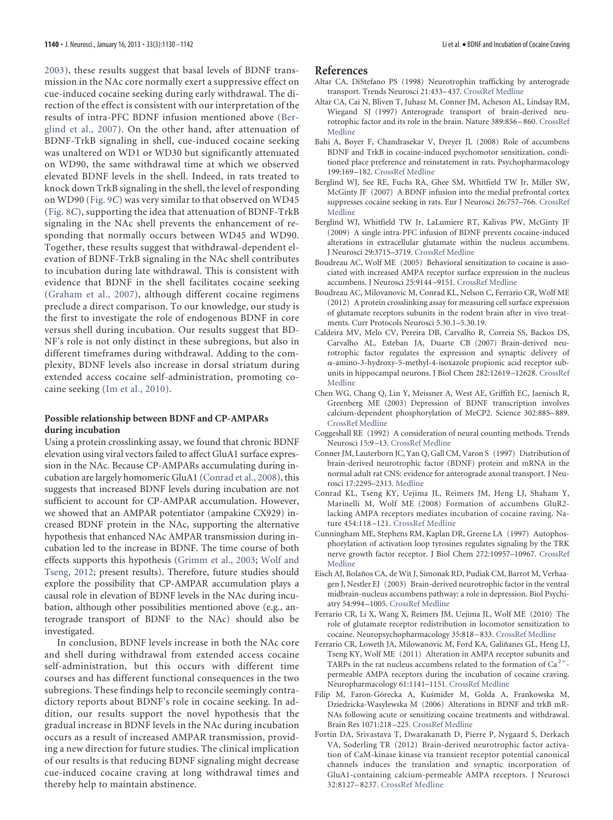2003), these results suggest that basal levels of BDNF transmission in the NAc core normally exert a suppressive effect on cue-induced cocaine seeking during early withdrawal. The direction of the effect is consistent with our interpretation of the results of intra-PFC BDNF infusion mentioned above (Berglind et al., 2007). On the other hand, after attenuation of BDNF-TrkB signaling in shell, cue-induced cocaine seeking was unaltered on WD1 or WD30 but significantly attenuated on WD90, the same withdrawal time at which we observed elevated BDNF levels in the shell. Indeed, in rats treated to knock down TrkB signaling in the shell, the level of responding on WD90 (Fig. 9*C*) was very similar to that observed on WD45 (Fig. 8*C*), supporting the idea that attenuation of BDNF-TrkB signaling in the NAc shell prevents the enhancement of responding that normally occurs between WD45 and WD90. Together, these results suggest that withdrawal-dependent elevation of BDNF-TrkB signaling in the NAc shell contributes to incubation during late withdrawal. This is consistent with evidence that BDNF in the shell facilitates cocaine seeking (Graham et al., 2007), although different cocaine regimens preclude a direct comparison. To our knowledge, our study is the first to investigate the role of endogenous BDNF in core versus shell during incubation. Our results suggest that BD-NF's role is not only distinct in these subregions, but also in different timeframes during withdrawal. Adding to the complexity, BDNF levels also increase in dorsal striatum during extended access cocaine self-administration, promoting cocaine seeking (Im et al., 2010).

### **Possible relationship between BDNF and CP-AMPARs during incubation**

Using a protein crosslinking assay, we found that chronic BDNF elevation using viral vectors failed to affect GluA1 surface expression in the NAc. Because CP-AMPARs accumulating during incubation are largely homomeric GluA1 (Conrad et al., 2008), this suggests that increased BDNF levels during incubation are not sufficient to account for CP-AMPAR accumulation. However, we showed that an AMPAR potentiator (ampakine CX929) increased BDNF protein in the NAc, supporting the alternative hypothesis that enhanced NAc AMPAR transmission during incubation led to the increase in BDNF. The time course of both effects supports this hypothesis (Grimm et al., 2003; Wolf and Tseng, 2012; present results). Therefore, future studies should explore the possibility that CP-AMPAR accumulation plays a causal role in elevation of BDNF levels in the NAc during incubation, although other possibilities mentioned above (e.g., anterograde transport of BDNF to the NAc) should also be investigated.

In conclusion, BDNF levels increase in both the NAc core and shell during withdrawal from extended access cocaine self-administration, but this occurs with different time courses and has different functional consequences in the two subregions. These findings help to reconcile seemingly contradictory reports about BDNF's role in cocaine seeking. In addition, our results support the novel hypothesis that the gradual increase in BDNF levels in the NAc during incubation occurs as a result of increased AMPAR transmission, providing a new direction for future studies. The clinical implication of our results is that reducing BDNF signaling might decrease cue-induced cocaine craving at long withdrawal times and thereby help to maintain abstinence.

#### **References**

- Altar CA, DiStefano PS (1998) Neurotrophin trafficking by anterograde transport. Trends Neurosci 21:433– 437. CrossRef Medline
- Altar CA, Cai N, Bliven T, Juhasz M, Conner JM, Acheson AL, Lindsay RM, Wiegand SJ (1997) Anterograde transport of brain-derived neurotrophic factor and its role in the brain. Nature 389:856 – 860. CrossRef Medline
- Bahi A, Boyer F, Chandrasekar V, Dreyer JL (2008) Role of accumbens BDNF and TrkB in cocaine-induced psychomotor sensitization, conditioned place preference and reinstatement in rats. Psychopharmacology 199:169 –182. CrossRef Medline
- Berglind WJ, See RE, Fuchs RA, Ghee SM, Whitfield TW Jr, Miller SW, McGinty JF (2007) A BDNF infusion into the medial prefrontal cortex suppresses cocaine seeking in rats. Eur J Neurosci 26:757–766. CrossRef Medline
- Berglind WJ, Whitfield TW Jr, LaLumiere RT, Kalivas PW, McGinty JF (2009) A single intra-PFC infusion of BDNF prevents cocaine-induced alterations in extracellular glutamate within the nucleus accumbens. J Neurosci 29:3715–3719. CrossRef Medline
- Boudreau AC, Wolf ME (2005) Behavioral sensitization to cocaine is associated with increased AMPA receptor surface expression in the nucleus accumbens. J Neurosci 25:9144 –9151. CrossRef Medline
- Boudreau AC, Milovanovic M, Conrad KL, Nelson C, Ferrario CR, Wolf ME (2012) A protein crosslinking assay for measuring cell surface expression of glutamate receptors subunits in the rodent brain after in vivo treatments. Curr Protocols Neurosci 5.30.1–5.30.19.
- Caldeira MV, Melo CV, Pereira DB, Carvalho R, Correia SS, Backos DS, Carvalho AL, Esteban JA, Duarte CB (2007) Brain-derived neurotrophic factor regulates the expression and synaptic delivery of -amino-3-hydroxy-5-methyl-4-isoxazole propionic acid receptor subunits in hippocampal neurons. J Biol Chem 282:12619 –12628. CrossRef Medline
- Chen WG, Chang Q, Lin Y, Meissner A, West AE, Griffith EC, Jaenisch R, Greenberg ME (2003) Depression of BDNF transcription involves calcium-dependent phosphorylation of MeCP2. Science 302:885– 889. CrossRef Medline
- Coggeshall RE (1992) A consideration of neural counting methods. Trends Neurosci 15:9 –13. CrossRef Medline
- Conner JM, Lauterborn JC, Yan Q, Gall CM, Varon S (1997) Distribution of brain-derived neurotrophic factor (BDNF) protein and mRNA in the normal adult rat CNS: evidence for anterograde axonal transport. J Neurosci 17:2295–2313. Medline
- Conrad KL, Tseng KY, Uejima JL, Reimers JM, Heng LJ, Shaham Y, Marinelli M, Wolf ME (2008) Formation of accumbens GluR2 lacking AMPA receptors mediates incubation of cocaine raving. Nature 454:118 –121. CrossRef Medline
- Cunningham ME, Stephens RM, Kaplan DR, Greene LA (1997) Autophosphorylation of activation loop tyrosines regulates signaling by the TRK nerve growth factor receptor. J Biol Chem 272:10957–10967. CrossRef Medline
- Eisch AJ, Bolaños CA, de Wit J, Simonak RD, Pudiak CM, Barrot M, Verhaagen J, Nestler EJ (2003) Brain-derived neurotrophic factor in the ventral midbrain-nucleus accumbens pathway: a role in depression. Biol Psychiatry 54:994 –1005. CrossRef Medline
- Ferrario CR, Li X, Wang X, Reimers JM, Uejima JL, Wolf ME (2010) The role of glutamate receptor redistribution in locomotor sensitization to cocaine. Neuropsychopharmacology 35:818 – 833. CrossRef Medline
- Ferrario CR, Loweth JA, Milowanovic M, Ford KA, Galiñanes GL, Heng LJ, Tseng KY, Wolf ME (2011) Alteration in AMPA receptor subunits and TARPs in the rat nucleus accumbens related to the formation of  $Ca^{2+}$ permeable AMPA receptors during the incubation of cocaine craving. Neuropharmacology 61:1141–1151. CrossRef Medline
- Filip M, Faron-Górecka A, Kuśmider M, Golda A, Frankowska M, Dziedzicka-Wasylewska M (2006) Alterations in BDNF and trkB mR-NAs following acute or sensitizing cocaine treatments and withdrawal. Brain Res 1071:218 –225. CrossRef Medline
- Fortin DA, Srivastava T, Dwarakanath D, Pierre P, Nygaard S, Derkach VA, Soderling TR (2012) Brain-derived neurotrophic factor activation of CaM-kinase kinase via transient receptor potential canonical channels induces the translation and synaptic incorporation of GluA1-containing calcium-permeable AMPA receptors. J Neurosci 32:8127– 8237. CrossRef Medline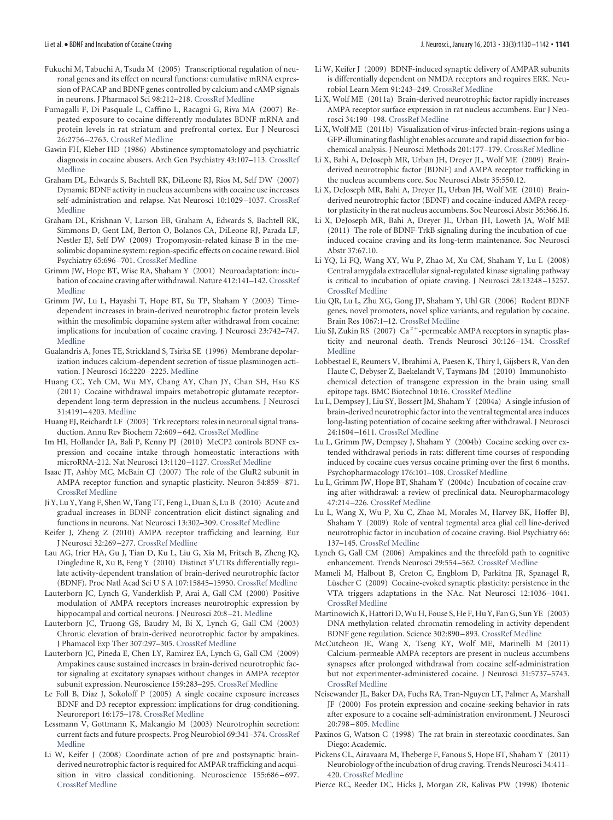- Fukuchi M, Tabuchi A, Tsuda M (2005) Transcriptional regulation of neuronal genes and its effect on neural functions: cumulative mRNA expression of PACAP and BDNF genes controlled by calcium and cAMP signals in neurons. J Pharmacol Sci 98:212–218. CrossRef Medline
- Fumagalli F, Di Pasquale L, Caffino L, Racagni G, Riva MA (2007) Repeated exposure to cocaine differently modulates BDNF mRNA and protein levels in rat striatum and prefrontal cortex. Eur J Neurosci 26:2756 –2763. CrossRef Medline
- Gawin FH, Kleber HD (1986) Abstinence symptomatology and psychiatric diagnosis in cocaine abusers. Arch Gen Psychiatry 43:107–113. CrossRef Medline
- Graham DL, Edwards S, Bachtell RK, DiLeone RJ, Rios M, Self DW (2007) Dynamic BDNF activity in nucleus accumbens with cocaine use increases self-administration and relapse. Nat Neurosci 10:1029 –1037. CrossRef Medline
- Graham DL, Krishnan V, Larson EB, Graham A, Edwards S, Bachtell RK, Simmons D, Gent LM, Berton O, Bolanos CA, DiLeone RJ, Parada LF, Nestler EJ, Self DW (2009) Tropomyosin-related kinase B in the mesolimbic dopamine system: region-specific effects on cocaine reward. Biol Psychiatry 65:696 –701. CrossRef Medline
- Grimm JW, Hope BT, Wise RA, Shaham Y (2001) Neuroadaptation: incubation of cocaine craving after withdrawal. Nature 412:141-142. CrossRef Medline
- Grimm JW, Lu L, Hayashi T, Hope BT, Su TP, Shaham Y (2003) Timedependent increases in brain-derived neurotrophic factor protein levels within the mesolimbic dopamine system after withdrawal from cocaine: implications for incubation of cocaine craving. J Neurosci 23:742–747. Medline
- Gualandris A, Jones TE, Strickland S, Tsirka SE (1996) Membrane depolarization induces calcium-dependent secretion of tissue plasminogen activation. J Neurosci 16:2220 –2225. Medline
- Huang CC, Yeh CM, Wu MY, Chang AY, Chan JY, Chan SH, Hsu KS (2011) Cocaine withdrawal impairs metabotropic glutamate receptordependent long-term depression in the nucleus accumbens. J Neurosci 31:4191– 4203. Medline
- Huang EJ, Reichardt LF (2003) Trk receptors: roles in neuronal signal transduction. Annu Rev Biochem 72:609 – 642. CrossRef Medline
- Im HI, Hollander JA, Bali P, Kenny PJ (2010) MeCP2 controls BDNF expression and cocaine intake through homeostatic interactions with microRNA-212. Nat Neurosci 13:1120 –1127. CrossRef Medline
- Isaac JT, Ashby MC, McBain CJ (2007) The role of the GluR2 subunit in AMPA receptor function and synaptic plasticity. Neuron 54:859 – 871. CrossRef Medline
- Ji Y, Lu Y, Yang F, Shen W, Tang TT, Feng L, Duan S, Lu B (2010) Acute and gradual increases in BDNF concentration elicit distinct signaling and functions in neurons. Nat Neurosci 13:302–309. CrossRef Medline
- Keifer J, Zheng Z (2010) AMPA receptor trafficking and learning. Eur J Neurosci 32:269 –277. CrossRef Medline
- Lau AG, Irier HA, Gu J, Tian D, Ku L, Liu G, Xia M, Fritsch B, Zheng JQ, Dingledine R, Xu B, Feng Y (2010) Distinct 3 UTRs differentially regulate activity-dependent translation of brain-derived neurotrophic factor (BDNF). Proc Natl Acad Sci U S A 107:15845–15950. CrossRef Medline
- Lauterborn JC, Lynch G, Vanderklish P, Arai A, Gall CM (2000) Positive modulation of AMPA receptors increases neurotrophic expression by hippocampal and cortical neurons. J Neurosci 20:8 –21. Medline
- Lauterborn JC, Truong GS, Baudry M, Bi X, Lynch G, Gall CM (2003) Chronic elevation of brain-derived neurotrophic factor by ampakines. J Phamacol Exp Ther 307:297–305. CrossRef Medline
- Lauterborn JC, Pineda E, Chen LY, Ramirez EA, Lynch G, Gall CM (2009) Ampakines cause sustained increases in brain-derived neurotrophic factor signaling at excitatory synapses without changes in AMPA receptor subunit expression. Neuroscience 159:283–295. CrossRef Medline
- Le Foll B, Diaz J, Sokoloff P (2005) A single cocaine exposure increases BDNF and D3 receptor expression: implications for drug-conditioning. Neuroreport 16:175–178. CrossRef Medline
- Lessmann V, Gottmann K, Malcangio M (2003) Neurotrophin secretion: current facts and future prospects. Prog Neurobiol 69:341–374. CrossRef Medline
- Li W, Keifer J (2008) Coordinate action of pre and postsynaptic brainderived neurotrophic factor is required for AMPAR trafficking and acquisition in vitro classical conditioning. Neuroscience 155:686-697. CrossRef Medline
- Li W, Keifer J (2009) BDNF-induced synaptic delivery of AMPAR subunits is differentially dependent on NMDA receptors and requires ERK. Neurobiol Learn Mem 91:243–249. CrossRef Medline
- Li X, Wolf ME (2011a) Brain-derived neurotrophic factor rapidly increases AMPA receptor surface expression in rat nucleus accumbens. Eur J Neurosci 34:190 –198. CrossRef Medline
- Li X, Wolf ME (2011b) Visualization of virus-infected brain-regions using a GFP-illuminating flashlight enables accurate and rapid dissection for biochemical analysis. J Neurosci Methods 201:177–179. CrossRef Medline
- Li X, Bahi A, DeJoseph MR, Urban JH, Dreyer JL, Wolf ME (2009) Brainderived neurotrophic factor (BDNF) and AMPA receptor trafficking in the nucleus accumbens core. Soc Neurosci Abstr 35:550.12.
- Li X, DeJoseph MR, Bahi A, Dreyer JL, Urban JH, Wolf ME (2010) Brainderived neurotrophic factor (BDNF) and cocaine-induced AMPA receptor plasticity in the rat nucleus accumbens. Soc Neurosci Abstr 36:366.16.
- Li X, DeJoseph MR, Bahi A, Dreyer JL, Urban JH, Loweth JA, Wolf ME (2011) The role of BDNF-TrkB signaling during the incubation of cueinduced cocaine craving and its long-term maintenance. Soc Neurosci Abstr 37:67.10.
- Li YQ, Li FQ, Wang XY, Wu P, Zhao M, Xu CM, Shaham Y, Lu L (2008) Central amygdala extracellular signal-regulated kinase signaling pathway is critical to incubation of opiate craving. J Neurosci 28:13248 –13257. CrossRef Medline
- Liu QR, Lu L, Zhu XG, Gong JP, Shaham Y, Uhl GR (2006) Rodent BDNF genes, novel promoters, novel splice variants, and regulation by cocaine. Brain Res 1067:1–12. CrossRef Medline
- Liu SJ, Zukin RS (2007) Ca<sup>2+</sup>-permeable AMPA receptors in synaptic plasticity and neuronal death. Trends Neurosci 30:126 –134. CrossRef Medline
- Lobbestael E, Reumers V, Ibrahimi A, Paesen K, Thiry I, Gijsbers R, Van den Haute C, Debyser Z, Baekelandt V, Taymans JM (2010) Immunohistochemical detection of transgene expression in the brain using small epitope tags. BMC Biotechnol 10:16. CrossRef Medline
- Lu L, Dempsey J, Liu SY, Bossert JM, Shaham Y (2004a) A single infusion of brain-derived neurotrophic factor into the ventral tegmental area induces long-lasting potentiation of cocaine seeking after withdrawal. J Neurosci 24:1604 –1611. CrossRef Medline
- Lu L, Grimm JW, Dempsey J, Shaham Y (2004b) Cocaine seeking over extended withdrawal periods in rats: different time courses of responding induced by cocaine cues versus cocaine priming over the first 6 months. Psychopharmacology 176:101–108. CrossRef Medline
- Lu L, Grimm JW, Hope BT, Shaham Y (2004c) Incubation of cocaine craving after withdrawal: a review of preclinical data. Neuropharmacology 47:214 –226. CrossRef Medline
- Lu L, Wang X, Wu P, Xu C, Zhao M, Morales M, Harvey BK, Hoffer BJ, Shaham Y (2009) Role of ventral tegmental area glial cell line-derived neurotrophic factor in incubation of cocaine craving. Biol Psychiatry 66: 137–145. CrossRef Medline
- Lynch G, Gall CM (2006) Ampakines and the threefold path to cognitive enhancement. Trends Neurosci 29:554 –562. CrossRef Medline
- Mameli M, Halbout B, Creton C, Engblom D, Parkitna JR, Spanagel R, Lüscher C (2009) Cocaine-evoked synaptic plasticity: persistence in the VTA triggers adaptations in the NAc. Nat Neurosci 12:1036 –1041. CrossRef Medline
- Martinowich K, Hattori D, Wu H, Fouse S, He F, Hu Y, Fan G, Sun YE (2003) DNA methylation-related chromatin remodeling in activity-dependent BDNF gene regulation. Science 302:890 – 893. CrossRef Medline
- McCutcheon JE, Wang X, Tseng KY, Wolf ME, Marinelli M (2011) Calcium-permeable AMPA receptors are present in nucleus accumbens synapses after prolonged withdrawal from cocaine self-administration but not experimenter-administered cocaine. J Neurosci 31:5737–5743. CrossRef Medline
- Neisewander JL, Baker DA, Fuchs RA, Tran-Nguyen LT, Palmer A, Marshall JF (2000) Fos protein expression and cocaine-seeking behavior in rats after exposure to a cocaine self-administration environment. J Neurosci 20:798 – 805. Medline
- Paxinos G, Watson C (1998) The rat brain in stereotaxic coordinates. San Diego: Academic.
- Pickens CL, Airavaara M, Theberge F, Fanous S, Hope BT, Shaham Y (2011) Neurobiology of the incubation of drug craving. Trends Neurosci 34:411– 420. CrossRef Medline
- Pierce RC, Reeder DC, Hicks J, Morgan ZR, Kalivas PW (1998) Ibotenic